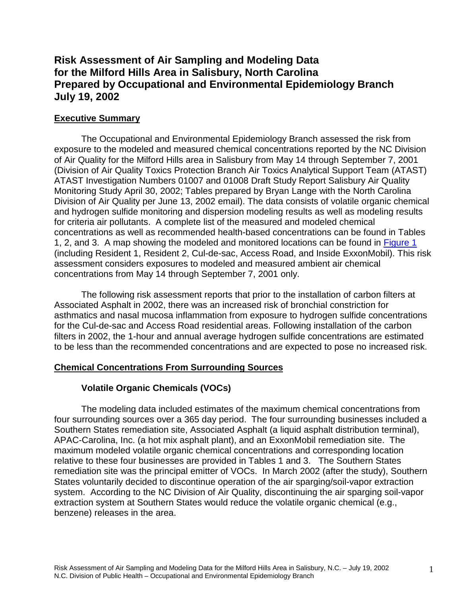# **Risk Assessment of Air Sampling and Modeling Data for the Milford Hills Area in Salisbury, North Carolina Prepared by Occupational and Environmental Epidemiology Branch July 19, 2002**

## **Executive Summary**

The Occupational and Environmental Epidemiology Branch assessed the risk from exposure to the modeled and measured chemical concentrations reported by the NC Division of Air Quality for the Milford Hills area in Salisbury from May 14 through September 7, 2001 (Division of Air Quality Toxics Protection Branch Air Toxics Analytical Support Team (ATAST) ATAST Investigation Numbers 01007 and 01008 Draft Study Report Salisbury Air Quality Monitoring Study April 30, 2002; Tables prepared by Bryan Lange with the North Carolina Division of Air Quality per June 13, 2002 email). The data consists of volatile organic chemical and hydrogen sulfide monitoring and dispersion modeling results as well as modeling results for criteria air pollutants. A complete list of the measured and modeled chemical concentrations as well as recommended health-based concentrations can be found in Tables 1, 2, and 3. A map showing the modeled and monitored locations can be found in [Figure 1](#page-21-0) (including Resident 1, Resident 2, Cul-de-sac, Access Road, and Inside ExxonMobil). This risk assessment considers exposures to modeled and measured ambient air chemical concentrations from May 14 through September 7, 2001 only.

The following risk assessment reports that prior to the installation of carbon filters at Associated Asphalt in 2002, there was an increased risk of bronchial constriction for asthmatics and nasal mucosa inflammation from exposure to hydrogen sulfide concentrations for the Cul-de-sac and Access Road residential areas. Following installation of the carbon filters in 2002, the 1-hour and annual average hydrogen sulfide concentrations are estimated to be less than the recommended concentrations and are expected to pose no increased risk.

#### **Chemical Concentrations From Surrounding Sources**

## **Volatile Organic Chemicals (VOCs)**

The modeling data included estimates of the maximum chemical concentrations from four surrounding sources over a 365 day period. The four surrounding businesses included a Southern States remediation site, Associated Asphalt (a liquid asphalt distribution terminal), APAC-Carolina, Inc. (a hot mix asphalt plant), and an ExxonMobil remediation site. The maximum modeled volatile organic chemical concentrations and corresponding location relative to these four businesses are provided in Tables 1 and 3. The Southern States remediation site was the principal emitter of VOCs. In March 2002 (after the study), Southern States voluntarily decided to discontinue operation of the air sparging/soil-vapor extraction system. According to the NC Division of Air Quality, discontinuing the air sparging soil-vapor extraction system at Southern States would reduce the volatile organic chemical (e.g., benzene) releases in the area.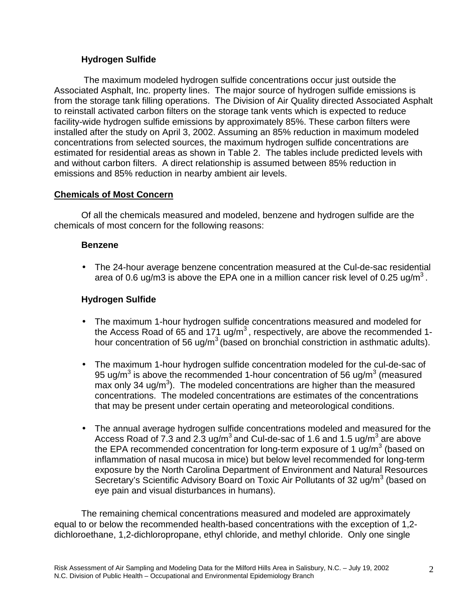## **Hydrogen Sulfide**

 The maximum modeled hydrogen sulfide concentrations occur just outside the Associated Asphalt, Inc. property lines. The major source of hydrogen sulfide emissions is from the storage tank filling operations. The Division of Air Quality directed Associated Asphalt to reinstall activated carbon filters on the storage tank vents which is expected to reduce facility-wide hydrogen sulfide emissions by approximately 85%. These carbon filters were installed after the study on April 3, 2002. Assuming an 85% reduction in maximum modeled concentrations from selected sources, the maximum hydrogen sulfide concentrations are estimated for residential areas as shown in Table 2. The tables include predicted levels with and without carbon filters. A direct relationship is assumed between 85% reduction in emissions and 85% reduction in nearby ambient air levels.

## **Chemicals of Most Concern**

Of all the chemicals measured and modeled, benzene and hydrogen sulfide are the chemicals of most concern for the following reasons:

#### **Benzene**

• The 24-hour average benzene concentration measured at the Cul-de-sac residential area of 0.6 ug/m3 is above the EPA one in a million cancer risk level of 0.25 ug/m<sup>3</sup>.

## **Hydrogen Sulfide**

- The maximum 1-hour hydrogen sulfide concentrations measured and modeled for the Access Road of 65 and 171 ug/m<sup>3</sup>, respectively, are above the recommended 1hour concentration of 56 ug/m<sup>3</sup> (based on bronchial constriction in asthmatic adults).
- The maximum 1-hour hydrogen sulfide concentration modeled for the cul-de-sac of 95 ug/m<sup>3</sup> is above the recommended 1-hour concentration of 56 ug/m<sup>3</sup> (measured  $max$  only 34 ug/m<sup>3</sup>). The modeled concentrations are higher than the measured concentrations. The modeled concentrations are estimates of the concentrations that may be present under certain operating and meteorological conditions.
- The annual average hydrogen sulfide concentrations modeled and measured for the Access Road of 7.3 and 2.3 ug/m<sup>3</sup> and Cul-de-sac of 1.6 and 1.5 ug/m<sup>3</sup> are above the EPA recommended concentration for long-term exposure of 1  $\mu$ g/m<sup>3</sup> (based on inflammation of nasal mucosa in mice) but below level recommended for long-term exposure by the North Carolina Department of Environment and Natural Resources Secretary's Scientific Advisory Board on Toxic Air Pollutants of 32 ug/m $3$  (based on eye pain and visual disturbances in humans).

The remaining chemical concentrations measured and modeled are approximately equal to or below the recommended health-based concentrations with the exception of 1,2 dichloroethane, 1,2-dichloropropane, ethyl chloride, and methyl chloride. Only one single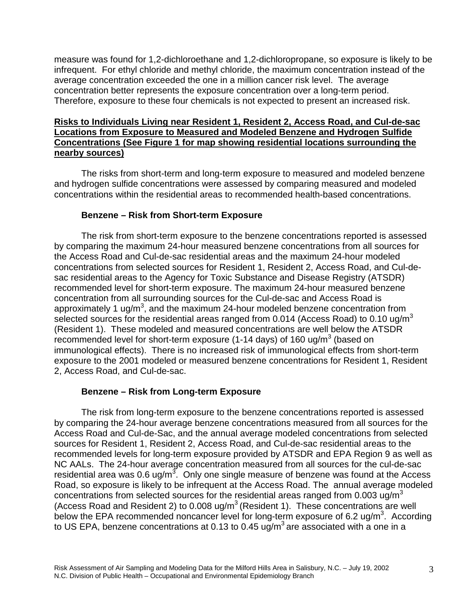measure was found for 1,2-dichloroethane and 1,2-dichloropropane, so exposure is likely to be infrequent. For ethyl chloride and methyl chloride, the maximum concentration instead of the average concentration exceeded the one in a million cancer risk level. The average concentration better represents the exposure concentration over a long-term period. Therefore, exposure to these four chemicals is not expected to present an increased risk.

#### **Risks to Individuals Living near Resident 1, Resident 2, Access Road, and Cul-de-sac Locations from Exposure to Measured and Modeled Benzene and Hydrogen Sulfide Concentrations (See Figure 1 for map showing residential locations surrounding the nearby sources)**

The risks from short-term and long-term exposure to measured and modeled benzene and hydrogen sulfide concentrations were assessed by comparing measured and modeled concentrations within the residential areas to recommended health-based concentrations.

## **Benzene – Risk from Short-term Exposure**

The risk from short-term exposure to the benzene concentrations reported is assessed by comparing the maximum 24-hour measured benzene concentrations from all sources for the Access Road and Cul-de-sac residential areas and the maximum 24-hour modeled concentrations from selected sources for Resident 1, Resident 2, Access Road, and Cul-desac residential areas to the Agency for Toxic Substance and Disease Registry (ATSDR) recommended level for short-term exposure. The maximum 24-hour measured benzene concentration from all surrounding sources for the Cul-de-sac and Access Road is approximately 1 ug/m<sup>3</sup>, and the maximum 24-hour modeled benzene concentration from selected sources for the residential areas ranged from 0.014 (Access Road) to 0.10  $uq/m<sup>3</sup>$ (Resident 1). These modeled and measured concentrations are well below the ATSDR recommended level for short-term exposure (1-14 days) of 160 ug/m $3$  (based on immunological effects). There is no increased risk of immunological effects from short-term exposure to the 2001 modeled or measured benzene concentrations for Resident 1, Resident 2, Access Road, and Cul-de-sac.

## **Benzene – Risk from Long-term Exposure**

The risk from long-term exposure to the benzene concentrations reported is assessed by comparing the 24-hour average benzene concentrations measured from all sources for the Access Road and Cul-de-Sac, and the annual average modeled concentrations from selected sources for Resident 1, Resident 2, Access Road, and Cul-de-sac residential areas to the recommended levels for long-term exposure provided by ATSDR and EPA Region 9 as well as NC AALs. The 24-hour average concentration measured from all sources for the cul-de-sac residential area was 0.6 ug/m<sup>3</sup>. Only one single measure of benzene was found at the Access Road, so exposure is likely to be infrequent at the Access Road. The annual average modeled concentrations from selected sources for the residential areas ranged from 0.003 ug/m<sup>3</sup> (Access Road and Resident 2) to 0.008 ug/m<sup>3</sup> (Resident 1). These concentrations are well below the EPA recommended noncancer level for long-term exposure of 6.2 ug/m<sup>3</sup>. According to US EPA, benzene concentrations at 0.13 to 0.45  $\mu$ g/m<sup>3</sup> are associated with a one in a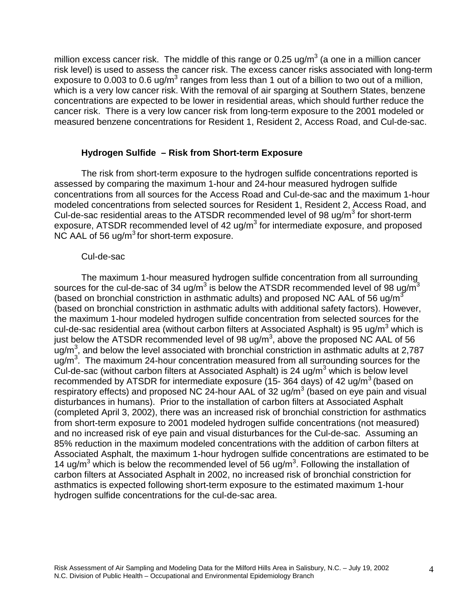million excess cancer risk. The middle of this range or 0.25 ug/m<sup>3</sup> (a one in a million cancer risk level) is used to assess the cancer risk. The excess cancer risks associated with long-term exposure to 0.003 to 0.6 ug/m<sup>3</sup> ranges from less than 1 out of a billion to two out of a million, which is a very low cancer risk. With the removal of air sparging at Southern States, benzene concentrations are expected to be lower in residential areas, which should further reduce the cancer risk. There is a very low cancer risk from long-term exposure to the 2001 modeled or measured benzene concentrations for Resident 1, Resident 2, Access Road, and Cul-de-sac.

#### **Hydrogen Sulfide – Risk from Short-term Exposure**

The risk from short-term exposure to the hydrogen sulfide concentrations reported is assessed by comparing the maximum 1-hour and 24-hour measured hydrogen sulfide concentrations from all sources for the Access Road and Cul-de-sac and the maximum 1-hour modeled concentrations from selected sources for Resident 1, Resident 2, Access Road, and Cul-de-sac residential areas to the ATSDR recommended level of 98 ug/m<sup>3</sup> for short-term exposure, ATSDR recommended level of 42 ug/m<sup>3</sup> for intermediate exposure, and proposed NC AAL of 56 ug/ $m<sup>3</sup>$  for short-term exposure.

#### Cul-de-sac

The maximum 1-hour measured hydrogen sulfide concentration from all surrounding sources for the cul-de-sac of 34 ug/m<sup>3</sup> is below the ATSDR recommended level of 98 ug/m<sup>3</sup> (based on bronchial constriction in asthmatic adults) and proposed NC AAL of 56 ug/m<sup>3</sup> (based on bronchial constriction in asthmatic adults with additional safety factors). However, the maximum 1-hour modeled hydrogen sulfide concentration from selected sources for the cul-de-sac residential area (without carbon filters at Associated Asphalt) is 95 ug/m<sup>3</sup> which is just below the ATSDR recommended level of 98 ug/m<sup>3</sup>, above the proposed NC AAL of 56  $\, {\rm u}$ g/m $^3$ , and below the level associated with bronchial constriction in asthmatic adults at 2,787  $\mu$ g/m<sup>3</sup>. The maximum 24-hour concentration measured from all surrounding sources for the Cul-de-sac (without carbon filters at Associated Asphalt) is 24 ug/m $3$  which is below level recommended by ATSDR for intermediate exposure (15- 364 days) of 42 ug/ $m^3$  (based on respiratory effects) and proposed NC 24-hour AAL of 32 ug/m<sup>3</sup> (based on eye pain and visual disturbances in humans). Prior to the installation of carbon filters at Associated Asphalt (completed April 3, 2002), there was an increased risk of bronchial constriction for asthmatics from short-term exposure to 2001 modeled hydrogen sulfide concentrations (not measured) and no increased risk of eye pain and visual disturbances for the Cul-de-sac. Assuming an 85% reduction in the maximum modeled concentrations with the addition of carbon filters at Associated Asphalt, the maximum 1-hour hydrogen sulfide concentrations are estimated to be 14 ug/m<sup>3</sup> which is below the recommended level of 56 ug/m<sup>3</sup>. Following the installation of carbon filters at Associated Asphalt in 2002, no increased risk of bronchial constriction for asthmatics is expected following short-term exposure to the estimated maximum 1-hour hydrogen sulfide concentrations for the cul-de-sac area.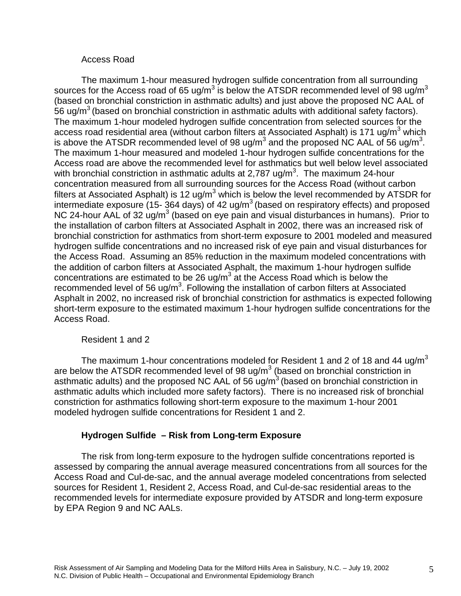#### Access Road

The maximum 1-hour measured hydrogen sulfide concentration from all surrounding sources for the Access road of 65 ug/m<sup>3</sup> is below the ATSDR recommended level of 98 ug/m<sup>3</sup> (based on bronchial constriction in asthmatic adults) and just above the proposed NC AAL of 56 ug/m<sup>3</sup> (based on bronchial constriction in asthmatic adults with additional safety factors). The maximum 1-hour modeled hydrogen sulfide concentration from selected sources for the access road residential area (without carbon filters at Associated Asphalt) is 171 ug/m<sup>3</sup> which is above the ATSDR recommended level of 98 ug/m<sup>3</sup> and the proposed NC AAL of 56 ug/m<sup>3</sup>. The maximum 1-hour measured and modeled 1-hour hydrogen sulfide concentrations for the Access road are above the recommended level for asthmatics but well below level associated with bronchial constriction in asthmatic adults at 2,787 ug/m<sup>3</sup>. The maximum 24-hour concentration measured from all surrounding sources for the Access Road (without carbon filters at Associated Asphalt) is 12 ug/m<sup>3</sup> which is below the level recommended by ATSDR for intermediate exposure (15- 364 days) of 42 ug/m<sup>3</sup> (based on respiratory effects) and proposed NC 24-hour AAL of 32 ug/m<sup>3</sup> (based on eye pain and visual disturbances in humans). Prior to the installation of carbon filters at Associated Asphalt in 2002, there was an increased risk of bronchial constriction for asthmatics from short-term exposure to 2001 modeled and measured hydrogen sulfide concentrations and no increased risk of eye pain and visual disturbances for the Access Road. Assuming an 85% reduction in the maximum modeled concentrations with the addition of carbon filters at Associated Asphalt, the maximum 1-hour hydrogen sulfide concentrations are estimated to be 26 ug/m<sup>3</sup> at the Access Road which is below the recommended level of 56 ug/m<sup>3</sup>. Following the installation of carbon filters at Associated Asphalt in 2002, no increased risk of bronchial constriction for asthmatics is expected following short-term exposure to the estimated maximum 1-hour hydrogen sulfide concentrations for the Access Road.

## Resident 1 and 2

The maximum 1-hour concentrations modeled for Resident 1 and 2 of 18 and 44 ug/m<sup>3</sup> are below the ATSDR recommended level of 98 ug/m<sup>3</sup> (based on bronchial constriction in asthmatic adults) and the proposed NC AAL of  $56 \text{ uq/m}^3$  (based on bronchial constriction in asthmatic adults which included more safety factors). There is no increased risk of bronchial constriction for asthmatics following short-term exposure to the maximum 1-hour 2001 modeled hydrogen sulfide concentrations for Resident 1 and 2.

## **Hydrogen Sulfide – Risk from Long-term Exposure**

The risk from long-term exposure to the hydrogen sulfide concentrations reported is assessed by comparing the annual average measured concentrations from all sources for the Access Road and Cul-de-sac, and the annual average modeled concentrations from selected sources for Resident 1, Resident 2, Access Road, and Cul-de-sac residential areas to the recommended levels for intermediate exposure provided by ATSDR and long-term exposure by EPA Region 9 and NC AALs.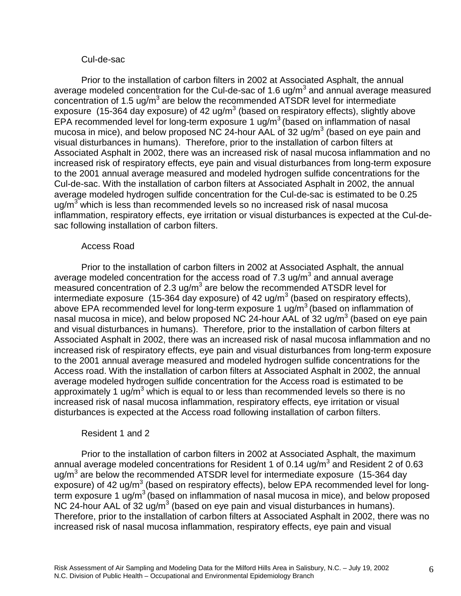#### Cul-de-sac

Prior to the installation of carbon filters in 2002 at Associated Asphalt, the annual average modeled concentration for the Cul-de-sac of 1.6 ug/m<sup>3</sup> and annual average measured concentration of 1.5 ug/m<sup>3</sup> are below the recommended ATSDR level for intermediate exposure (15-364 day exposure) of 42 ug/m<sup>3</sup> (based on respiratory effects), slightly above EPA recommended level for long-term exposure 1 ug/ $m<sup>3</sup>$  (based on inflammation of nasal mucosa in mice), and below proposed NC 24-hour AAL of 32 ug/m<sup>3</sup> (based on eye pain and visual disturbances in humans). Therefore, prior to the installation of carbon filters at Associated Asphalt in 2002, there was an increased risk of nasal mucosa inflammation and no increased risk of respiratory effects, eye pain and visual disturbances from long-term exposure to the 2001 annual average measured and modeled hydrogen sulfide concentrations for the Cul-de-sac. With the installation of carbon filters at Associated Asphalt in 2002, the annual average modeled hydrogen sulfide concentration for the Cul-de-sac is estimated to be 0.25 ug/m<sup>3</sup> which is less than recommended levels so no increased risk of nasal mucosa inflammation, respiratory effects, eye irritation or visual disturbances is expected at the Cul-desac following installation of carbon filters.

#### Access Road

Prior to the installation of carbon filters in 2002 at Associated Asphalt, the annual average modeled concentration for the access road of 7.3 ug/m<sup>3</sup> and annual average measured concentration of 2.3 ug/m<sup>3</sup> are below the recommended ATSDR level for intermediate exposure (15-364 day exposure) of 42 ug/m<sup>3</sup> (based on respiratory effects), above EPA recommended level for long-term exposure 1 ug/m<sup>3</sup> (based on inflammation of nasal mucosa in mice), and below proposed NC 24-hour AAL of 32 ug/m<sup>3</sup> (based on eye pain and visual disturbances in humans). Therefore, prior to the installation of carbon filters at Associated Asphalt in 2002, there was an increased risk of nasal mucosa inflammation and no increased risk of respiratory effects, eye pain and visual disturbances from long-term exposure to the 2001 annual average measured and modeled hydrogen sulfide concentrations for the Access road. With the installation of carbon filters at Associated Asphalt in 2002, the annual average modeled hydrogen sulfide concentration for the Access road is estimated to be approximately 1 ug/m<sup>3</sup> which is equal to or less than recommended levels so there is no increased risk of nasal mucosa inflammation, respiratory effects, eye irritation or visual disturbances is expected at the Access road following installation of carbon filters.

#### Resident 1 and 2

Prior to the installation of carbon filters in 2002 at Associated Asphalt, the maximum annual average modeled concentrations for Resident 1 of 0.14 ug/m<sup>3</sup> and Resident 2 of 0.63 ug/m<sup>3</sup> are below the recommended ATSDR level for intermediate exposure (15-364 day exposure) of 42 ug/m<sup>3</sup> (based on respiratory effects), below EPA recommended level for longterm exposure 1  $\mu$ g/m<sup>3</sup> (based on inflammation of nasal mucosa in mice), and below proposed NC 24-hour AAL of 32 ug/m<sup>3</sup> (based on eye pain and visual disturbances in humans). Therefore, prior to the installation of carbon filters at Associated Asphalt in 2002, there was no increased risk of nasal mucosa inflammation, respiratory effects, eye pain and visual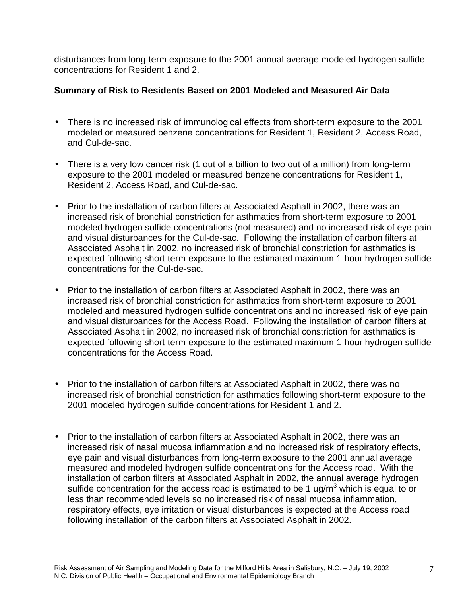disturbances from long-term exposure to the 2001 annual average modeled hydrogen sulfide concentrations for Resident 1 and 2.

### **Summary of Risk to Residents Based on 2001 Modeled and Measured Air Data**

- There is no increased risk of immunological effects from short-term exposure to the 2001 modeled or measured benzene concentrations for Resident 1, Resident 2, Access Road, and Cul-de-sac.
- There is a very low cancer risk (1 out of a billion to two out of a million) from long-term exposure to the 2001 modeled or measured benzene concentrations for Resident 1, Resident 2, Access Road, and Cul-de-sac.
- Prior to the installation of carbon filters at Associated Asphalt in 2002, there was an increased risk of bronchial constriction for asthmatics from short-term exposure to 2001 modeled hydrogen sulfide concentrations (not measured) and no increased risk of eye pain and visual disturbances for the Cul-de-sac. Following the installation of carbon filters at Associated Asphalt in 2002, no increased risk of bronchial constriction for asthmatics is expected following short-term exposure to the estimated maximum 1-hour hydrogen sulfide concentrations for the Cul-de-sac.
- Prior to the installation of carbon filters at Associated Asphalt in 2002, there was an increased risk of bronchial constriction for asthmatics from short-term exposure to 2001 modeled and measured hydrogen sulfide concentrations and no increased risk of eye pain and visual disturbances for the Access Road. Following the installation of carbon filters at Associated Asphalt in 2002, no increased risk of bronchial constriction for asthmatics is expected following short-term exposure to the estimated maximum 1-hour hydrogen sulfide concentrations for the Access Road.
- Prior to the installation of carbon filters at Associated Asphalt in 2002, there was no increased risk of bronchial constriction for asthmatics following short-term exposure to the 2001 modeled hydrogen sulfide concentrations for Resident 1 and 2.
- Prior to the installation of carbon filters at Associated Asphalt in 2002, there was an increased risk of nasal mucosa inflammation and no increased risk of respiratory effects, eye pain and visual disturbances from long-term exposure to the 2001 annual average measured and modeled hydrogen sulfide concentrations for the Access road. With the installation of carbon filters at Associated Asphalt in 2002, the annual average hydrogen sulfide concentration for the access road is estimated to be 1 ug/m<sup>3</sup> which is equal to or less than recommended levels so no increased risk of nasal mucosa inflammation, respiratory effects, eye irritation or visual disturbances is expected at the Access road following installation of the carbon filters at Associated Asphalt in 2002.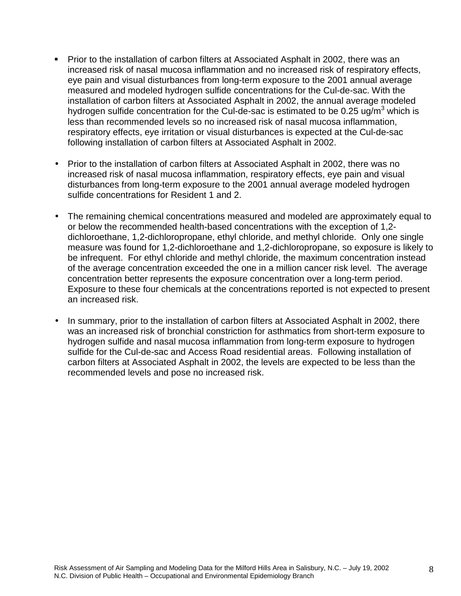- ! Prior to the installation of carbon filters at Associated Asphalt in 2002, there was an increased risk of nasal mucosa inflammation and no increased risk of respiratory effects, eye pain and visual disturbances from long-term exposure to the 2001 annual average measured and modeled hydrogen sulfide concentrations for the Cul-de-sac. With the installation of carbon filters at Associated Asphalt in 2002, the annual average modeled hydrogen sulfide concentration for the Cul-de-sac is estimated to be 0.25 ug/m<sup>3</sup> which is less than recommended levels so no increased risk of nasal mucosa inflammation, respiratory effects, eye irritation or visual disturbances is expected at the Cul-de-sac following installation of carbon filters at Associated Asphalt in 2002.
- Prior to the installation of carbon filters at Associated Asphalt in 2002, there was no increased risk of nasal mucosa inflammation, respiratory effects, eye pain and visual disturbances from long-term exposure to the 2001 annual average modeled hydrogen sulfide concentrations for Resident 1 and 2.
- The remaining chemical concentrations measured and modeled are approximately equal to or below the recommended health-based concentrations with the exception of 1,2 dichloroethane, 1,2-dichloropropane, ethyl chloride, and methyl chloride. Only one single measure was found for 1,2-dichloroethane and 1,2-dichloropropane, so exposure is likely to be infrequent. For ethyl chloride and methyl chloride, the maximum concentration instead of the average concentration exceeded the one in a million cancer risk level. The average concentration better represents the exposure concentration over a long-term period. Exposure to these four chemicals at the concentrations reported is not expected to present an increased risk.
- In summary, prior to the installation of carbon filters at Associated Asphalt in 2002, there was an increased risk of bronchial constriction for asthmatics from short-term exposure to hydrogen sulfide and nasal mucosa inflammation from long-term exposure to hydrogen sulfide for the Cul-de-sac and Access Road residential areas. Following installation of carbon filters at Associated Asphalt in 2002, the levels are expected to be less than the recommended levels and pose no increased risk.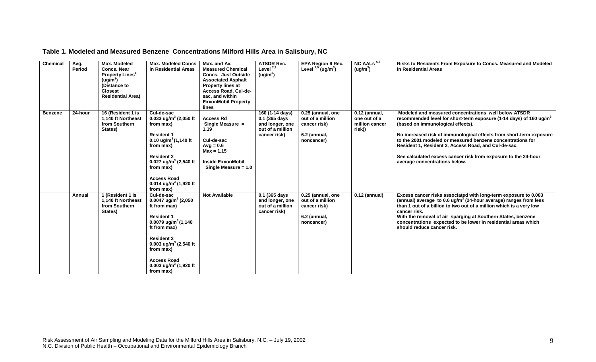| Table 1. Modeled and Measured Benzene Concentrations Milford Hills Area in Salisbury, NC |
|------------------------------------------------------------------------------------------|
|                                                                                          |

| <b>Chemical</b> | Avg.<br>Period | Max. Modeled<br><b>Concs. Near</b><br><b>Property Lines<sup>1</sup></b><br>(ug/m <sup>3</sup> )<br>(Distance to<br><b>Closest</b><br><b>Residential Area)</b> | <b>Max. Modeled Concs</b><br>in Residential Areas                                                                                                                                                                                                                                       | Max. and Av.<br><b>Measured Chemical</b><br><b>Concs. Just Outside</b><br><b>Associated Asphalt</b><br><b>Property lines at</b><br>Access Road, Cul-de-<br>sac, and within<br><b>ExxonMobil Property</b><br>lines | <b>ATSDR Rec.</b><br>Level $^{2,3}$<br>(ug/m <sup>3</sup> )                             | <b>EPA Region 9 Rec.</b><br>Level $4.5$ (ug/m <sup>3</sup> )                        | NC AALs <sup>6,7</sup><br>(ug/m <sup>3</sup> )              | Risks to Residents From Exposure to Concs. Measured and Modeled<br>in Residential Areas                                                                                                                                                                                                                                                                                                                                                                                     |
|-----------------|----------------|---------------------------------------------------------------------------------------------------------------------------------------------------------------|-----------------------------------------------------------------------------------------------------------------------------------------------------------------------------------------------------------------------------------------------------------------------------------------|-------------------------------------------------------------------------------------------------------------------------------------------------------------------------------------------------------------------|-----------------------------------------------------------------------------------------|-------------------------------------------------------------------------------------|-------------------------------------------------------------|-----------------------------------------------------------------------------------------------------------------------------------------------------------------------------------------------------------------------------------------------------------------------------------------------------------------------------------------------------------------------------------------------------------------------------------------------------------------------------|
| <b>Benzene</b>  | 24-hour        | 16 (Resident 1 is<br>1,140 ft Northeast<br>from Southern<br>States)                                                                                           | Cul-de-sac<br>0.033 ug/m <sup>3</sup> (2,050 ft<br>from max)<br><b>Resident 1</b><br>0.10 ug/m <sup>3</sup> $(1,140$ ft<br>from max)<br><b>Resident 2</b><br>0.027 ug/m <sup>3</sup> (2,540 ft<br>from max)<br><b>Access Road</b><br>0.014 ug/m <sup>3</sup> (1,920 ft<br>from max)     | <b>Access Rd</b><br>Single Measure =<br>1.19<br>Cul-de-sac<br>$Avg = 0.6$<br>$Max = 1.15$<br><b>Inside ExxonMobil</b><br>Single Measure = $1.0$                                                                   | 160 (1-14 days)<br>0.1 (365 days<br>and longer, one<br>out of a million<br>cancer risk) | 0.25 (annual, one<br>out of a million<br>cancer risk)<br>6.2 (annual,<br>noncancer) | $0.12$ (annual,<br>one out of a<br>million cancer<br>risk)) | Modeled and measured concentrations well below ATSDR<br>recommended level for short-term exposure (1-14 days) of 160 ug/m <sup>3</sup><br>(based on immunological effects).<br>No increased risk of immunological effects from short-term exposure<br>to the 2001 modeled or measured benzene concentrations for<br>Resident 1, Resident 2, Access Road, and Cul-de-sac.<br>See calculated excess cancer risk from exposure to the 24-hour<br>average concentrations below. |
|                 | Annual         | 1 (Resident 1 is<br>1,140 ft Northeast<br>from Southern<br>States)                                                                                            | Cul-de-sac<br>0.0047 ug/m <sup>3</sup> (2,050<br>ft from max)<br><b>Resident 1</b><br>0.0079 ug/m <sup>3</sup> $(1,140)$<br>ft from max)<br><b>Resident 2</b><br>0.003 ug/m <sup>3</sup> (2,540 ft<br>from max)<br><b>Access Road</b><br>0.003 ug/m <sup>3</sup> (1,920 ft<br>from max) | <b>Not Available</b>                                                                                                                                                                                              | 0.1 (365 days<br>and longer, one<br>out of a million<br>cancer risk)                    | 0.25 (annual, one<br>out of a million<br>cancer risk)<br>6.2 (annual,<br>noncancer) | $0.12$ (annual)                                             | Excess cancer risks associated with long-term exposure to 0.003<br>(annual) average to 0.6 ug/ $m^3$ (24-hour average) ranges from less<br>than 1 out of a billion to two out of a million which is a very low<br>cancer risk.<br>With the removal of air sparging at Southern States, benzene<br>concentrations expected to be lower in residential areas which<br>should reduce cancer risk.                                                                              |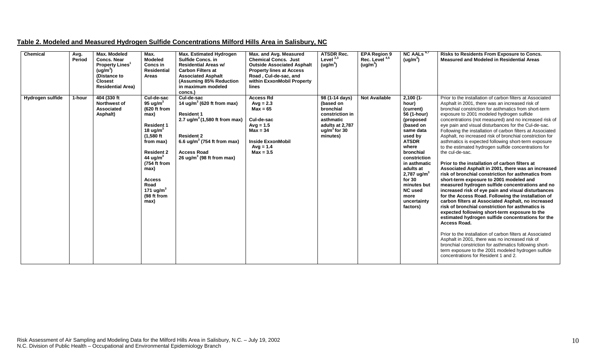| Table 2. Modeled and Measured Hydrogen Sulfide Concentrations Milford Hills Area in Salisbury, NC |
|---------------------------------------------------------------------------------------------------|
|---------------------------------------------------------------------------------------------------|

| Chemical         | Avg.<br>Period | Max. Modeled<br><b>Concs. Near</b><br><b>Property Lines<sup>1</sup></b><br>( uq/m <sup>3</sup> )<br>(Distance to<br><b>Closest</b><br><b>Residential Area)</b> | Max.<br><b>Modeled</b><br>Concs in<br><b>Residential</b><br>Areas                                                                                                                                                                                      | Max. Estimated Hydrogen<br><b>Sulfide Concs. in</b><br><b>Residential Areas w/</b><br><b>Carbon Filters at</b><br><b>Associated Asphalt</b><br>(Assuming 85% Reduction<br>in maximum modeled<br>concs.)                                               | Max. and Avg. Measured<br><b>Chemical Concs. Just</b><br><b>Outside Associated Asphalt</b><br><b>Property lines at Access</b><br>Road, Cul-de-sac, and<br>within ExxonMobil Property<br>lines | <b>ATSDR Rec.</b><br>Level $^{2,3}$<br>(ug/m <sup>3</sup> )                                                               | <b>EPA Region 9</b><br>Rec. Level <sup>4,5</sup><br>(ug/m <sup>3</sup> ) | $NC$ AALs $6,7$<br>(ug/m <sup>3</sup> )                                                                                                                                                                                                                                                          | Risks to Residents From Exposure to Concs.<br><b>Measured and Modeled in Residential Areas</b>                                                                                                                                                                                                                                                                                                                                                                                                                                                                                                                                                                                                                                                                                                                                                                                                                                                                                                                                                                                                                                                                                                                                                                                                                                                                                                                                                                                           |
|------------------|----------------|----------------------------------------------------------------------------------------------------------------------------------------------------------------|--------------------------------------------------------------------------------------------------------------------------------------------------------------------------------------------------------------------------------------------------------|-------------------------------------------------------------------------------------------------------------------------------------------------------------------------------------------------------------------------------------------------------|-----------------------------------------------------------------------------------------------------------------------------------------------------------------------------------------------|---------------------------------------------------------------------------------------------------------------------------|--------------------------------------------------------------------------|--------------------------------------------------------------------------------------------------------------------------------------------------------------------------------------------------------------------------------------------------------------------------------------------------|------------------------------------------------------------------------------------------------------------------------------------------------------------------------------------------------------------------------------------------------------------------------------------------------------------------------------------------------------------------------------------------------------------------------------------------------------------------------------------------------------------------------------------------------------------------------------------------------------------------------------------------------------------------------------------------------------------------------------------------------------------------------------------------------------------------------------------------------------------------------------------------------------------------------------------------------------------------------------------------------------------------------------------------------------------------------------------------------------------------------------------------------------------------------------------------------------------------------------------------------------------------------------------------------------------------------------------------------------------------------------------------------------------------------------------------------------------------------------------------|
| Hydrogen sulfide | 1-hour         | 404 (330 ft)<br><b>Northwest of</b><br><b>Associated</b><br>Asphalt)                                                                                           | Cul-de-sac<br>95 ug/m $3$<br>(620 ft from<br>max)<br><b>Resident 1</b><br>18 ug/m $3$<br>$(1,580$ ft<br>from max)<br><b>Resident 2</b><br>44 ug/m <sup>3</sup><br>(754 ft from<br>max)<br><b>Access</b><br>Road<br>171 ug/m $3$<br>(98 ft from<br>max) | Cul-de-sac<br>14 ug/m <sup>3</sup> (620 ft from max)<br><b>Resident 1</b><br>2.7 ug/m <sup>3</sup> (1,580 ft from max)<br><b>Resident 2</b><br>6.6 ug/m <sup>3</sup> (754 ft from max)<br><b>Access Road</b><br>26 ug/m <sup>3</sup> (98 ft from max) | <b>Access Rd</b><br>$Avg = 2.3$<br>$Max = 65$<br>Cul-de-sac<br>$Avg = 1.5$<br>$Max = 34$<br><b>Inside ExxonMobil</b><br>$Avq = 1.4$<br>$Max = 3.5$                                            | 98 (1-14 days)<br>(based on<br>bronchial<br>constriction in<br>asthmatic<br>adults at 2.787<br>$uq/m3$ for 30<br>minutes) | <b>Not Available</b>                                                     | $2,100(1 -$<br>hour)<br>(current)<br>56 (1-hour)<br>(proposed<br>(based on<br>same data<br>used by<br><b>ATSDR</b><br>where<br>bronchial<br>constriction<br>in asthmatic<br>adults at<br>2,787 ug/m <sup>3</sup><br>for $30$<br>minutes but<br><b>NC</b> used<br>more<br>uncertainty<br>factors) | Prior to the installation of carbon filters at Associated<br>Asphalt in 2001, there was an increased risk of<br>bronchial constriction for asthmatics from short-term<br>exposure to 2001 modeled hydrogen sulfide<br>concentrations (not measured) and no increased risk of<br>eye pain and visual disturbances for the Cul-de-sac.<br>Following the installation of carbon filters at Associated<br>Asphalt, no increased risk of bronchial constriction for<br>asthmatics is expected following short-term exposure<br>to the estimated hydrogen sulfide concentrations for<br>the cul-de-sac.<br>Prior to the installation of carbon filters at<br>Associated Asphalt in 2001, there was an increased<br>risk of bronchial constriction for asthmatics from<br>short-term exposure to 2001 modeled and<br>measured hydrogen sulfide concentrations and no<br>increased risk of eye pain and visual disturbances<br>for the Access Road. Following the installation of<br>carbon filters at Associated Asphalt, no increased<br>risk of bronchial constriction for asthmatics is<br>expected following short-term exposure to the<br>estimated hydrogen sulfide concentrations for the<br><b>Access Road.</b><br>Prior to the installation of carbon filters at Associated<br>Asphalt in 2001, there was no increased risk of<br>bronchial constriction for asthmatics following short-<br>term exposure to the 2001 modeled hydrogen sulfide<br>concentrations for Resident 1 and 2. |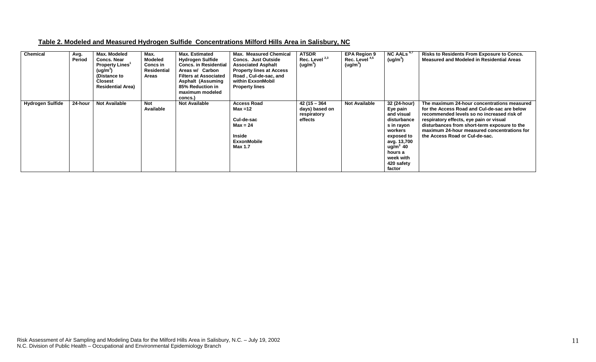| Table 2. Modeled and Measured Hydrogen Sulfide Concentrations Milford Hills Area in Salisbury, NC |  |  |
|---------------------------------------------------------------------------------------------------|--|--|
|                                                                                                   |  |  |

| <b>Chemical</b>         | Avg.<br>Period | Max. Modeled<br><b>Concs, Near</b><br><b>Property Lines</b><br>(ug/m <sup>3</sup> )<br>(Distance to<br><b>Closest</b><br><b>Residential Area)</b> | Max.<br><b>Modeled</b><br>Concs in<br><b>Residential</b><br>Areas | <b>Max. Estimated</b><br><b>Hydrogen Sulfide</b><br><b>Concs. in Residential</b><br>Areas w/ Carbon<br><b>Filters at Associated</b><br><b>Asphalt (Assuming</b><br>85% Reduction in<br>maximum modeled<br>concs.) | <b>Max. Measured Chemical</b><br><b>Concs. Just Outside</b><br><b>Associated Asphalt</b><br><b>Property lines at Access</b><br>Road, Cul-de-sac, and<br>within ExxonMobil<br><b>Property lines</b> | <b>ATSDR</b><br>Rec. Level $^{2,3}$<br>(ug/m <sup>3</sup> ) | <b>EPA Region 9</b><br>Rec. Level <sup>4,5</sup><br>(ug/m <sup>3</sup> ) | NC AALs <sup>b</sup><br>(ug/m <sup>3</sup> )                                                                                                                                             | <b>Risks to Residents From Exposure to Concs.</b><br><b>Measured and Modeled in Residential Areas</b>                                                                                                                                                                                                                 |
|-------------------------|----------------|---------------------------------------------------------------------------------------------------------------------------------------------------|-------------------------------------------------------------------|-------------------------------------------------------------------------------------------------------------------------------------------------------------------------------------------------------------------|----------------------------------------------------------------------------------------------------------------------------------------------------------------------------------------------------|-------------------------------------------------------------|--------------------------------------------------------------------------|------------------------------------------------------------------------------------------------------------------------------------------------------------------------------------------|-----------------------------------------------------------------------------------------------------------------------------------------------------------------------------------------------------------------------------------------------------------------------------------------------------------------------|
| <b>Hydrogen Sulfide</b> | 24-hour        | <b>Not Available</b>                                                                                                                              | <b>Not</b><br>Available                                           | <b>Not Available</b>                                                                                                                                                                                              | <b>Access Road</b><br>$Max = 12$<br>Cul-de-sac<br>$Max = 24$<br><b>Inside</b><br><b>ExxonMobile</b><br>Max 1.7                                                                                     | $42(15 - 364)$<br>days) based on<br>respiratory<br>effects  | <b>Not Available</b>                                                     | 32 (24-hour)<br>Eye pain<br>and visual<br>disturbance<br>s in rayon<br>workers<br>exposed to<br>avg. 13,700<br>$\mu$ g/m <sup>3</sup> 40<br>hours a<br>week with<br>420 safety<br>factor | The maximum 24-hour concentrations measured<br>for the Access Road and Cul-de-sac are below<br>recommended levels so no increased risk of<br>respiratory effects, eye pain or visual<br>disturbances from short-term exposure to the<br>maximum 24-hour measured concentrations for<br>the Access Road or Cul-de-sac. |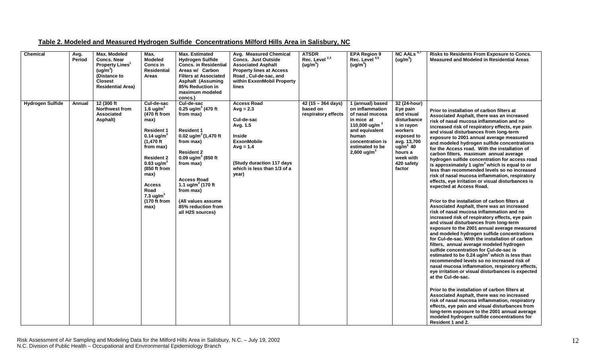| Table 2. Modeled and Measured Hydrogen Sulfide Concentrations Milford Hills Area in Salisbury, NC |
|---------------------------------------------------------------------------------------------------|
|---------------------------------------------------------------------------------------------------|

| Chemical                | Avg.<br>Period | Max. Modeled<br><b>Concs. Near</b><br>Property Lines <sup>1</sup><br>(ug/m <sup>3</sup> )<br>(Distance to<br><b>Closest</b><br><b>Residential Area)</b> | Max.<br><b>Modeled</b><br>Concs in<br><b>Residential</b><br>Areas                                                                                                                                                                                                                          | <b>Max. Estimated</b><br><b>Hydrogen Sulfide</b><br><b>Concs. in Residential</b><br>Areas w/ Carbon<br><b>Filters at Associated</b><br><b>Asphalt (Assuming</b><br>85% Reduction in<br>maximum modeled<br>concs.)                                                                                                                            | <b>Avg. Measured Chemical</b><br><b>Concs. Just Outside</b><br><b>Associated Asphalt</b><br><b>Property lines at Access</b><br>Road, Cul-de-sac, and<br>within ExxonMobil Property<br>lines | <b>ATSDR</b><br>Rec. Level <sup>2,3</sup><br>(ug/m <sup>3</sup> ) | <b>EPA Region 9</b><br>Rec. Level <sup>4,5</sup><br>(ug/m <sup>3</sup> )                                                                                                              | NC AALs <sup>6,7</sup><br>(ug/m <sup>3</sup> )                                                                                                                            | Risks to Residents From Exposure to Concs.<br><b>Measured and Modeled in Residential Areas</b>                                                                                                                                                                                                                                                                                                                                                                                                                                                                                                                                                                                                                                                                                                                                                                                                                                                                                                                                                                                                                                                                                                                                                                                                                                                                                                                                                                                                                                                                                                                                                                                                                                                                                     |
|-------------------------|----------------|---------------------------------------------------------------------------------------------------------------------------------------------------------|--------------------------------------------------------------------------------------------------------------------------------------------------------------------------------------------------------------------------------------------------------------------------------------------|----------------------------------------------------------------------------------------------------------------------------------------------------------------------------------------------------------------------------------------------------------------------------------------------------------------------------------------------|---------------------------------------------------------------------------------------------------------------------------------------------------------------------------------------------|-------------------------------------------------------------------|---------------------------------------------------------------------------------------------------------------------------------------------------------------------------------------|---------------------------------------------------------------------------------------------------------------------------------------------------------------------------|------------------------------------------------------------------------------------------------------------------------------------------------------------------------------------------------------------------------------------------------------------------------------------------------------------------------------------------------------------------------------------------------------------------------------------------------------------------------------------------------------------------------------------------------------------------------------------------------------------------------------------------------------------------------------------------------------------------------------------------------------------------------------------------------------------------------------------------------------------------------------------------------------------------------------------------------------------------------------------------------------------------------------------------------------------------------------------------------------------------------------------------------------------------------------------------------------------------------------------------------------------------------------------------------------------------------------------------------------------------------------------------------------------------------------------------------------------------------------------------------------------------------------------------------------------------------------------------------------------------------------------------------------------------------------------------------------------------------------------------------------------------------------------|
| <b>Hydrogen Sulfide</b> | Annual         | 12 (300 ft<br><b>Northwest from</b><br>Associated<br>Asphalt)                                                                                           | Cul-de-sac<br>1.6 ug/ $m3$<br>(470 ft from<br>max)<br><b>Resident 1</b><br>$0.14$ ug/m <sup>3</sup><br>$(1,470$ ft<br>from max)<br><b>Resident 2</b><br>0.63 $\mu$ g/m <sup>3</sup><br>(850 ft from<br>max)<br><b>Access</b><br>Road<br>7.3 $\mu$ g/m <sup>3</sup><br>(170 ft from<br>max) | Cul-de-sac<br>0.25 ug/m <sup>3</sup> (470 ft<br>from max)<br><b>Resident 1</b><br>0.02 ug/m <sup>3</sup> (1,470 ft<br>from max)<br><b>Resident 2</b><br>0.09 $\mu$ g/m <sup>3</sup> (850 ft<br>from max)<br><b>Access Road</b><br>1.1 ug/m <sup>3</sup> (170 ft<br>from max)<br>(All values assume<br>85% reduction from<br>all H2S sources) | <b>Access Road</b><br>$Avg = 2.3$<br>Cul-de-sac<br>Avg. 1.5<br><b>Inside</b><br><b>ExxonMobile</b><br>$Avg = 1.4$<br>(Study duraction 117 days<br>which is less than 1/3 of a<br>year)      | $42(15 - 364 \text{ days})$<br>based on<br>respiratory effects    | 1 (annual) based<br>on inflammation<br>of nasal mucosa<br>in mice at<br>110,000 ug/m $3$<br>and equivalent<br>human<br>concentration is<br>estimated to be<br>2,600 ug/m <sup>3</sup> | 32 (24-hour)<br>Eye pain<br>and visual<br>disturbance<br>s in rayon<br>workers<br>exposed to<br>avg. 13,700<br>$ug/m3$ 40<br>hours a<br>week with<br>420 safety<br>factor | Prior to installation of carbon filters at<br>Associated Asphalt, there was an increased<br>risk of nasal mucosa inflammation and no<br>increased risk of respiratory effects, eye pain<br>and visual disturbances from long-term<br>exposure to 2001 annual average measured<br>and modeled hydrogen sulfide concentrations<br>for the Access road. With the installation of<br>carbon filters, maximum annual average<br>hydrogen sulfide concentration for access road<br>is approximately 1 $\mu$ g/m <sup>3</sup> which is equal to or<br>less than recommended levels so no increased<br>risk of nasal mucosa inflammation, respiratory<br>effects, eye irritation or visual disturbances is<br>expected at Access Road.<br>Prior to the installation of carbon filters at<br>Associated Asphalt, there was an increased<br>risk of nasal mucosa inflammation and no<br>increased risk of respiratory effects, eye pain<br>and visual disturbances from long-term<br>exposure to the 2001 annual average measured<br>and modeled hydrogen sulfide concentrations<br>for Cul-de-sac. With the installation of carbon<br>filters, annual average modeled hydrogen<br>sulfide concentration for Cul-de-sac is<br>estimated to be 0.24 ug/m <sup>3</sup> which is less than<br>recommended levels so no increased risk of<br>nasal mucosa inflammation, respiratory effects,<br>eye irritation or visual disturbances is expected<br>at the Cul-de-sac.<br>Prior to the installation of carbon filters at<br>Associated Asphalt, there was no increased<br>risk of nasal mucosa inflammation, respiratory<br>effects, eye pain and visual disturbances from<br>long-term exposure to the 2001 annual average<br>modeled hydrogen sulfide concentrations for<br>Resident 1 and 2. |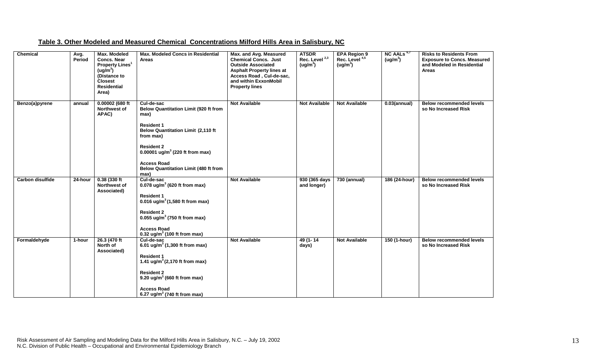| Chemical                | Avg.<br>Period | <b>Max. Modeled</b><br><b>Concs. Near</b><br><b>Property Lines<sup>1</sup></b><br>(ug/m <sup>3</sup> )<br>(Distance to<br><b>Closest</b><br><b>Residential</b><br>Area) | <b>Max. Modeled Concs in Residential</b><br>Areas                                                                                                                                                                                                                                                   | Max. and Avg. Measured<br><b>Chemical Concs. Just</b><br><b>Outside Associated</b><br><b>Asphalt Property lines at</b><br>Access Road, Cul-de-sac,<br>and within ExxonMobil<br><b>Property lines</b> | <b>ATSDR</b><br>Rec. Level <sup>2,3</sup><br>(ug/m <sup>3</sup> ) | EPA Region 9<br>Rec. Level 4,5<br>(ug/m <sup>3</sup> ) | $NC$ AALs $6,7$<br>(ug/m <sup>3</sup> ) | <b>Risks to Residents From</b><br><b>Exposure to Concs. Measured</b><br>and Modeled in Residential<br><b>Areas</b> |
|-------------------------|----------------|-------------------------------------------------------------------------------------------------------------------------------------------------------------------------|-----------------------------------------------------------------------------------------------------------------------------------------------------------------------------------------------------------------------------------------------------------------------------------------------------|------------------------------------------------------------------------------------------------------------------------------------------------------------------------------------------------------|-------------------------------------------------------------------|--------------------------------------------------------|-----------------------------------------|--------------------------------------------------------------------------------------------------------------------|
| Benzo(a)pyrene          | annual         | 0.00002 (680 ft<br>Northwest of<br>APAC)                                                                                                                                | Cul-de-sac<br><b>Below Quantitation Limit (920 ft from</b><br>max)<br><b>Resident 1</b><br><b>Below Quantitation Limit (2,110 ft</b><br>from max)<br><b>Resident 2</b><br>0.00001 ug/m <sup>3</sup> (220 ft from max)<br><b>Access Road</b><br><b>Below Quantitation Limit (480 ft from</b><br>max) | <b>Not Available</b>                                                                                                                                                                                 | <b>Not Available</b>                                              | <b>Not Available</b>                                   | $0.03$ (annual)                         | <b>Below recommended levels</b><br>so No Increased Risk                                                            |
| <b>Carbon disulfide</b> | 24-hour        | 0.38(330 ft)<br>Northwest of<br>Associated)                                                                                                                             | Cul-de-sac<br>0.078 ug/m <sup>3</sup> (620 ft from max)<br><b>Resident 1</b><br>0.016 ug/m <sup>3</sup> $(1,580$ ft from max)<br><b>Resident 2</b><br>0.055 ug/m <sup>3</sup> (750 ft from max)<br><b>Access Road</b><br>0.32 ug/m <sup>3</sup> (100 ft from max)                                   | <b>Not Available</b>                                                                                                                                                                                 | 930 (365 days<br>and longer)                                      | 730 (annual)                                           | 186 (24-hour)                           | <b>Below recommended levels</b><br>so No Increased Risk                                                            |
| Formaldehyde            | 1-hour         | 26.3 (470 ft<br>North of<br>Associated)                                                                                                                                 | Cul-de-sac<br>6.01 ug/m <sup>3</sup> (1,300 ft from max)<br><b>Resident 1</b><br>1.41 ug/m <sup>3</sup> (2,170 ft from max)<br><b>Resident 2</b><br>9.20 $\mu$ g/m <sup>3</sup> (660 ft from max)<br><b>Access Road</b><br>6.27 ug/m <sup>3</sup> (740 ft from max)                                 | <b>Not Available</b>                                                                                                                                                                                 | 49 (1-14<br>days)                                                 | <b>Not Available</b>                                   | 150 (1-hour)                            | <b>Below recommended levels</b><br>so No Increased Risk                                                            |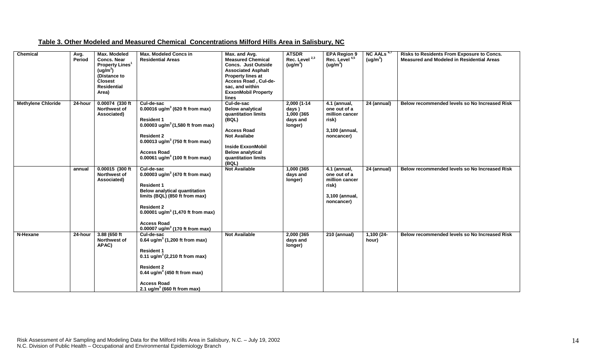| Table 3. Other Modeled and Measured Chemical Concentrations Milford Hills Area in Salisbury, NC |  |
|-------------------------------------------------------------------------------------------------|--|
|-------------------------------------------------------------------------------------------------|--|

| <b>Chemical</b>           | Avg.<br>Period | Max. Modeled<br><b>Concs. Near</b><br><b>Property Lines<sup>1</sup></b><br>(ug/m <sup>3</sup> )<br>(Distance to<br><b>Closest</b><br><b>Residential</b><br>Area) | <b>Max. Modeled Concs in</b><br><b>Residential Areas</b>                                                                                                                                                                                                                                            | Max. and Avg.<br><b>Measured Chemical</b><br><b>Concs. Just Outside</b><br><b>Associated Asphalt</b><br><b>Property lines at</b><br>Access Road, Cul-de-<br>sac, and within<br><b>ExxonMobil Property</b><br>lines | <b>ATSDR</b><br>Rec. Level <sup>2,3</sup><br>(ug/m <sup>3</sup> ) | <b>EPA Region 9</b><br>Rec. Level <sup>4,5</sup><br>(ug/m <sup>3</sup> )                  | $NC$ AALs <sup>6,7</sup><br>(ug/m <sup>3</sup> ) | Risks to Residents From Exposure to Concs.<br><b>Measured and Modeled in Residential Areas</b> |
|---------------------------|----------------|------------------------------------------------------------------------------------------------------------------------------------------------------------------|-----------------------------------------------------------------------------------------------------------------------------------------------------------------------------------------------------------------------------------------------------------------------------------------------------|--------------------------------------------------------------------------------------------------------------------------------------------------------------------------------------------------------------------|-------------------------------------------------------------------|-------------------------------------------------------------------------------------------|--------------------------------------------------|------------------------------------------------------------------------------------------------|
| <b>Methylene Chloride</b> | 24-hour        | 0.00074 (330 ft<br><b>Northwest of</b><br>Associated)                                                                                                            | Cul-de-sac<br>0.00016 ug/m <sup>3</sup> (620 ft from max)<br><b>Resident 1</b><br>0.00003 ug/m <sup>3</sup> (1,580 ft from max)<br><b>Resident 2</b><br>0.00013 ug/m <sup>3</sup> (750 ft from max)<br><b>Access Road</b><br>0.00061 ug/m <sup>3</sup> (100 ft from max)                            | Cul-de-sac<br><b>Below analytical</b><br>quantitation limits<br>(BQL)<br><b>Access Road</b><br><b>Not Availabe</b><br><b>Inside ExxonMobil</b><br><b>Below analytical</b><br>quantitation limits<br>(BQL)          | $2,000(1-14)$<br>days)<br>1,000 (365<br>days and<br>longer)       | $4.1$ (annual,<br>one out of a<br>million cancer<br>risk)<br>3,100 (annual,<br>noncancer) | 24 (annual)                                      | Below recommended levels so No Increased Risk                                                  |
|                           | annual         | 0.00015 (300 ft<br><b>Northwest of</b><br>Associated)                                                                                                            | Cul-de-sac<br>0.00003 ug/m <sup>3</sup> (470 ft from max)<br><b>Resident 1</b><br><b>Below analytical quantitation</b><br>limits (BQL) (850 ft from max)<br><b>Resident 2</b><br>0.00001 ug/m <sup>3</sup> (1,470 ft from max)<br><b>Access Road</b><br>0.00007 ug/m <sup>3</sup> (170 ft from max) | <b>Not Available</b>                                                                                                                                                                                               | 1,000 (365<br>days and<br>longer)                                 | 4.1 (annual,<br>one out of a<br>million cancer<br>risk)<br>3,100 (annual,<br>noncancer)   | $\overline{24}$ (annual)                         | Below recommended levels so No Increased Risk                                                  |
| N-Hexane                  | 24-hour        | 3.88 (650 ft<br>Northwest of<br>APAC)                                                                                                                            | Cul-de-sac<br>0.64 ug/m <sup>3</sup> (1,200 ft from max)<br><b>Resident 1</b><br>0.11 ug/m <sup>3</sup> (2,210 ft from max)<br><b>Resident 2</b><br>0.44 ug/m <sup>3</sup> (450 ft from max)<br><b>Access Road</b><br>2.1 ug/m <sup>3</sup> (660 ft from max)                                       | <b>Not Available</b>                                                                                                                                                                                               | 2,000 (365<br>days and<br>longer)                                 | 210 (annual)                                                                              | $1,100(24-$<br>hour)                             | Below recommended levels so No Increased Risk                                                  |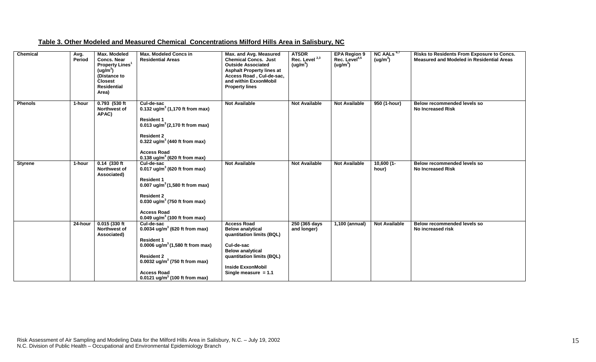| Table 3. Other Modeled and Measured Chemical Concentrations Milford Hills Area in Salisbury, NC |  |
|-------------------------------------------------------------------------------------------------|--|
|-------------------------------------------------------------------------------------------------|--|

| Chemical       | Avg.<br>Period | <b>Max. Modeled</b><br><b>Concs. Near</b><br><b>Property Lines<sup>1</sup></b><br>(ug/m <sup>3</sup> )<br>(Distance to<br><b>Closest</b><br><b>Residential</b><br>Area) | <b>Max. Modeled Concs in</b><br><b>Residential Areas</b>                                                                                                                                                                                                             | Max. and Avg. Measured<br><b>Chemical Concs. Just</b><br><b>Outside Associated</b><br><b>Asphalt Property lines at</b><br>Access Road, Cul-de-sac,<br>and within ExxonMobil<br><b>Property lines</b>   | <b>ATSDR</b><br>Rec. Level <sup>2,3</sup><br>(ug/m <sup>3</sup> ) | <b>EPA Region 9</b><br>Rec. Level <sup>4,5</sup><br>(ug/m <sup>3</sup> ) | NC AALs <sup>6,7</sup><br>(ug/m <sup>3</sup> ) | Risks to Residents From Exposure to Concs.<br><b>Measured and Modeled in Residential Areas</b> |
|----------------|----------------|-------------------------------------------------------------------------------------------------------------------------------------------------------------------------|----------------------------------------------------------------------------------------------------------------------------------------------------------------------------------------------------------------------------------------------------------------------|--------------------------------------------------------------------------------------------------------------------------------------------------------------------------------------------------------|-------------------------------------------------------------------|--------------------------------------------------------------------------|------------------------------------------------|------------------------------------------------------------------------------------------------|
| <b>Phenols</b> | 1-hour         | 0.793 (530 ft<br><b>Northwest of</b><br>APAC)                                                                                                                           | Cul-de-sac<br>0.132 ug/m <sup>3</sup> (1,170 ft from max)<br><b>Resident 1</b><br>0.013 ug/m <sup>3</sup> (2,170 ft from max)<br><b>Resident 2</b><br>0.322 ug/m <sup>3</sup> (440 ft from max)<br><b>Access Road</b><br>0.138 ug/m <sup>3</sup> (620 ft from max)   | <b>Not Available</b>                                                                                                                                                                                   | <b>Not Available</b>                                              | <b>Not Available</b>                                                     | 950 (1-hour)                                   | Below recommended levels so<br><b>No Increased Risk</b>                                        |
| <b>Styrene</b> | 1-hour         | $0.14$ (330 ft)<br>Northwest of<br>Associated)                                                                                                                          | Cul-de-sac<br>0.017 $ug/m^3$ (620 ft from max)<br><b>Resident 1</b><br>0.007 ug/m <sup>3</sup> $(1,580$ ft from max)<br><b>Resident 2</b><br>0.030 ug/m <sup>3</sup> (750 ft from max)<br><b>Access Road</b><br>0.049 ug/m <sup>3</sup> (100 ft from max)            | <b>Not Available</b>                                                                                                                                                                                   | <b>Not Available</b>                                              | <b>Not Available</b>                                                     | $10,600(1-$<br>hour)                           | Below recommended levels so<br><b>No Increased Risk</b>                                        |
|                | 24-hour        | 0.015(330 ft)<br><b>Northwest of</b><br>Associated)                                                                                                                     | Cul-de-sac<br>0.0034 ug/m <sup>3</sup> (620 ft from max)<br><b>Resident 1</b><br>0.0006 ug/m <sup>3</sup> (1,580 ft from max)<br><b>Resident 2</b><br>0.0032 ug/m <sup>3</sup> (750 ft from max)<br><b>Access Road</b><br>0.0121 ug/m <sup>3</sup> (100 ft from max) | <b>Access Road</b><br><b>Below analytical</b><br>quantitation limits (BQL)<br>Cul-de-sac<br><b>Below analytical</b><br>quantitation limits (BQL)<br><b>Inside ExxonMobil</b><br>Single measure $= 1.1$ | 250 (365 days<br>and longer)                                      | 1,100 (annual)                                                           | <b>Not Available</b>                           | Below recommended levels so<br>No increased risk                                               |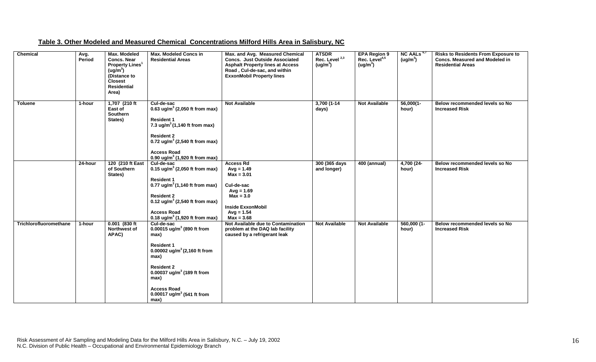|  | Table 3. Other Modeled and Measured Chemical Concentrations Milford Hills Area in Salisbury, NC |
|--|-------------------------------------------------------------------------------------------------|
|--|-------------------------------------------------------------------------------------------------|

| Chemical               | Avg.<br>Period | <b>Max. Modeled</b><br><b>Concs. Near</b><br><b>Property Lines<sup>1</sup></b><br>(ug/m <sup>3</sup> )<br>(Distance to<br><b>Closest</b><br><b>Residential</b><br>Area) | <b>Max. Modeled Concs in</b><br><b>Residential Areas</b>                                                                                                                                                                                                                             | Max. and Avg. Measured Chemical<br>Concs. Just Outside Associated<br><b>Asphalt Property lines at Access</b><br>Road, Cul-de-sac, and within<br><b>ExxonMobil Property lines</b> | <b>ATSDR</b><br>Rec. Level <sup>2,3</sup><br>(ug/m <sup>3</sup> ) | <b>EPA Region 9</b><br>Rec. Level <sup>4,5</sup><br>(ug/m <sup>3</sup> ) | NC AALs $6,7$<br>(ug/m <sup>3</sup> ) | <b>Risks to Residents From Exposure to</b><br><b>Concs. Measured and Modeled in</b><br><b>Residential Areas</b> |
|------------------------|----------------|-------------------------------------------------------------------------------------------------------------------------------------------------------------------------|--------------------------------------------------------------------------------------------------------------------------------------------------------------------------------------------------------------------------------------------------------------------------------------|----------------------------------------------------------------------------------------------------------------------------------------------------------------------------------|-------------------------------------------------------------------|--------------------------------------------------------------------------|---------------------------------------|-----------------------------------------------------------------------------------------------------------------|
| <b>Toluene</b>         | 1-hour         | 1,707 (210 ft<br>East of<br>Southern<br>States)                                                                                                                         | Cul-de-sac<br>0.63 ug/m <sup>3</sup> (2,050 ft from max)<br><b>Resident 1</b><br>7.3 ug/m <sup>3</sup> (1,140 ft from max)<br><b>Resident 2</b><br>0.72 ug/m <sup>3</sup> (2,540 ft from max)<br><b>Access Road</b><br>0.90 ug/m <sup>3</sup> (1,920 ft from max)                    | <b>Not Available</b>                                                                                                                                                             | $3,700(1-14)$<br>days)                                            | <b>Not Available</b>                                                     | $56,000(1-$<br>hour)                  | Below recommended levels so No<br><b>Increased Risk</b>                                                         |
|                        | 24-hour        | 120 (210 ft East<br>of Southern<br>States)                                                                                                                              | Cul-de-sac<br>0.15 ug/m <sup>3</sup> (2,050 ft from max)<br><b>Resident 1</b><br>0.77 ug/m <sup>3</sup> (1,140 ft from max)<br><b>Resident 2</b><br>0.12 ug/m <sup>3</sup> (2,540 ft from max)<br><b>Access Road</b><br>0.18 ug/m <sup>3</sup> (1,920 ft from max)                   | <b>Access Rd</b><br>$Avg = 1.49$<br>$Max = 3.01$<br>Cul-de-sac<br>$Avg = 1.69$<br>$Max = 3.0$<br><b>Inside ExxonMobil</b><br>$Avg = 1.54$<br>$Max = 3.68$                        | 300 (365 days<br>and longer)                                      | <b>400 (annual)</b>                                                      | 4,700 (24-<br>hour)                   | Below recommended levels so No<br><b>Increased Risk</b>                                                         |
| Trichlorofluoromethane | $1$ -hour      | $0.001$ (830 ft<br><b>Northwest of</b><br>APAC)                                                                                                                         | Cul-de-sac<br>0.00015 ug/m <sup>3</sup> (890 ft from<br>max)<br><b>Resident 1</b><br>0.00002 ug/m <sup>3</sup> (2,160 ft from<br>max)<br><b>Resident 2</b><br>0.00037 ug/m <sup>3</sup> (189 ft from<br>max)<br><b>Access Road</b><br>0.00017 ug/m <sup>3</sup> (541 ft from<br>max) | Not Available due to Contamination<br>problem at the DAQ lab facility<br>caused by a refrigerant leak                                                                            | <b>Not Available</b>                                              | <b>Not Available</b>                                                     | $560,000(1 -$<br>hour)                | Below recommended levels so No<br><b>Increased Risk</b>                                                         |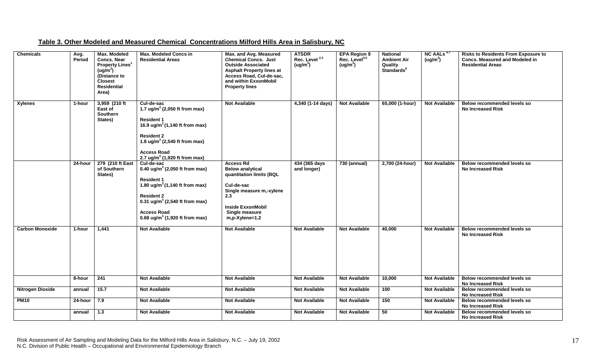| <b>Chemicals</b>        | Avg.<br><b>Period</b> | Max. Modeled<br><b>Concs. Near</b><br><b>Property Lines<sup>1</sup></b><br>(ug/m <sup>3</sup> )<br>(Distance to<br><b>Closest</b><br><b>Residential</b><br>Area) | <b>Max. Modeled Concs in</b><br><b>Residential Areas</b>                                                                                                                                                                                                           | Max. and Avg. Measured<br><b>Chemical Concs. Just</b><br><b>Outside Associated</b><br><b>Asphalt Property lines at</b><br>Access Road, Cul-de-sac,<br>and within ExxonMobil<br><b>Property lines</b> | <b>ATSDR</b><br>Rec. Level <sup>2,3</sup><br>(ug/m <sup>3</sup> ) | <b>EPA Region 9</b><br>Rec. Level <sup>4,5</sup><br>(ug/m <sup>3</sup> ) | <b>National</b><br><b>Ambient Air</b><br>Quality<br>Standards <sup>8</sup> | NC AALs $6,7$<br>(ug/m <sup>3</sup> ) | <b>Risks to Residents From Exposure to</b><br><b>Concs. Measured and Modeled in</b><br><b>Residential Areas</b> |
|-------------------------|-----------------------|------------------------------------------------------------------------------------------------------------------------------------------------------------------|--------------------------------------------------------------------------------------------------------------------------------------------------------------------------------------------------------------------------------------------------------------------|------------------------------------------------------------------------------------------------------------------------------------------------------------------------------------------------------|-------------------------------------------------------------------|--------------------------------------------------------------------------|----------------------------------------------------------------------------|---------------------------------------|-----------------------------------------------------------------------------------------------------------------|
| <b>Xylenes</b>          | 1-hour                | 3,959 (210 ft<br>East of<br><b>Southern</b><br>States)                                                                                                           | Cul-de-sac<br>1.7 ug/m <sup>3</sup> (2,050 ft from max)<br><b>Resident 1</b><br>16.9 ug/m <sup>3</sup> (1,140 ft from max)<br><b>Resident 2</b><br>1.8 ug/m <sup>3</sup> (2,540 ft from max)<br><b>Access Road</b><br>2.7 ug/m <sup>3</sup> (1,920 ft from max)    | <b>Not Available</b>                                                                                                                                                                                 | 4,340 (1-14 days)                                                 | <b>Not Available</b>                                                     | 65,000 (1-hour)                                                            | <b>Not Available</b>                  | <b>Below recommended levels so</b><br><b>No Increased Risk</b>                                                  |
|                         | 24-hour               | 279 (210 ft East<br>of Southern<br>States)                                                                                                                       | Cul-de-sac<br>0.40 ug/m <sup>3</sup> (2,050 ft from max)<br><b>Resident 1</b><br>1.80 ug/m <sup>3</sup> (1,140 ft from max)<br><b>Resident 2</b><br>0.31 ug/m <sup>3</sup> (2,540 ft from max)<br><b>Access Road</b><br>0.68 ug/m <sup>3</sup> (1,920 ft from max) | <b>Access Rd</b><br><b>Below analytical</b><br>quantitation limits (BQL<br>Cul-de-sac<br>Single measure m,-xylene<br>2.3<br><b>Inside ExxonMobil</b><br>Single measure<br>$m, p$ -Xylene=1.2         | 434 (365 days<br>and longer)                                      | 730 (annual)                                                             | 2,700 (24-hour)                                                            | <b>Not Available</b>                  | <b>Below recommended levels so</b><br><b>No Increased Risk</b>                                                  |
| <b>Carbon Monoxide</b>  | 1-hour                | 1,441                                                                                                                                                            | <b>Not Available</b>                                                                                                                                                                                                                                               | <b>Not Available</b>                                                                                                                                                                                 | <b>Not Available</b>                                              | <b>Not Available</b>                                                     | 40,000                                                                     | <b>Not Available</b>                  | Below recommended levels so<br><b>No Increased Risk</b>                                                         |
|                         | 8-hour                | 241                                                                                                                                                              | <b>Not Available</b>                                                                                                                                                                                                                                               | <b>Not Available</b>                                                                                                                                                                                 | <b>Not Available</b>                                              | <b>Not Available</b>                                                     | 10,000                                                                     | <b>Not Available</b>                  | Below recommended levels so<br><b>No Increased Risk</b>                                                         |
| <b>Nitrogen Dioxide</b> | annual                | 15.7                                                                                                                                                             | <b>Not Available</b>                                                                                                                                                                                                                                               | <b>Not Available</b>                                                                                                                                                                                 | <b>Not Available</b>                                              | <b>Not Available</b>                                                     | 100                                                                        | <b>Not Available</b>                  | Below recommended levels so<br><b>No Increased Risk</b>                                                         |
| <b>PM10</b>             | 24-hour               | 7.9                                                                                                                                                              | <b>Not Available</b>                                                                                                                                                                                                                                               | <b>Not Available</b>                                                                                                                                                                                 | <b>Not Available</b>                                              | <b>Not Available</b>                                                     | 150                                                                        | <b>Not Available</b>                  | Below recommended levels so<br><b>No Increased Risk</b>                                                         |
|                         | annual                | 1.3                                                                                                                                                              | <b>Not Available</b>                                                                                                                                                                                                                                               | <b>Not Available</b>                                                                                                                                                                                 | <b>Not Available</b>                                              | <b>Not Available</b>                                                     | 50                                                                         | <b>Not Available</b>                  | Below recommended levels so<br><b>No Increased Risk</b>                                                         |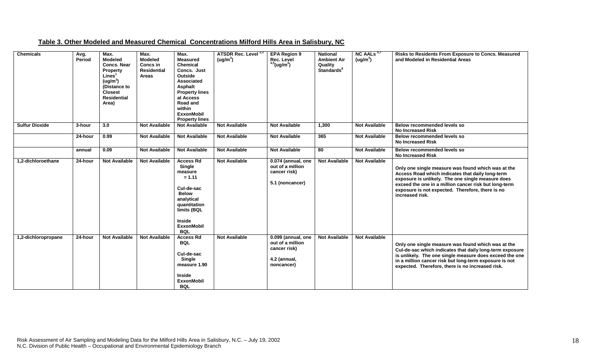| <b>Chemicals</b>      | Avg.<br>Period | Max.<br><b>Modeled</b><br><b>Concs. Near</b><br>Property<br>Lines <sup>1</sup><br>(ug/m <sup>3</sup> )<br>(Distance to<br><b>Closest</b><br><b>Residential</b><br>Area) | Max.<br><b>Modeled</b><br>Concs in<br><b>Residential</b><br><b>Areas</b> | Max.<br><b>Measured</b><br><b>Chemical</b><br>Concs. Just<br>Outside<br>Associated<br>Asphalt<br><b>Property lines</b><br>at Access<br>Road and<br>within<br><b>ExxonMobil</b><br><b>Property lines</b> | <b>ATSDR Rec. Level</b><br>(ug/m <sup>3</sup> ) | <b>EPA Region 9</b><br>Rec. Level<br>$4,5$ (ug/m <sup>3</sup> )                      | <b>National</b><br><b>Ambient Air</b><br>Quality<br><b>Standards<sup>8</sup></b> | NC AALs $6,7$<br>(ug/m <sup>3</sup> ) | Risks to Residents From Exposure to Concs. Measured<br>and Modeled in Residential Areas                                                                                                                                                                                                     |
|-----------------------|----------------|-------------------------------------------------------------------------------------------------------------------------------------------------------------------------|--------------------------------------------------------------------------|---------------------------------------------------------------------------------------------------------------------------------------------------------------------------------------------------------|-------------------------------------------------|--------------------------------------------------------------------------------------|----------------------------------------------------------------------------------|---------------------------------------|---------------------------------------------------------------------------------------------------------------------------------------------------------------------------------------------------------------------------------------------------------------------------------------------|
| <b>Sulfur Dioxide</b> | 3-hour         | 3.0                                                                                                                                                                     | <b>Not Available</b>                                                     | <b>Not Available</b>                                                                                                                                                                                    | <b>Not Available</b>                            | <b>Not Available</b>                                                                 | 1,300                                                                            | <b>Not Available</b>                  | Below recommended levels so<br><b>No Increased Risk</b>                                                                                                                                                                                                                                     |
|                       | 24-hour        | 0.99                                                                                                                                                                    | <b>Not Available</b>                                                     | <b>Not Available</b>                                                                                                                                                                                    | <b>Not Available</b>                            | <b>Not Available</b>                                                                 | 365                                                                              | <b>Not Available</b>                  | Below recommended levels so<br><b>No Increased Risk</b>                                                                                                                                                                                                                                     |
|                       | annual         | 0.09                                                                                                                                                                    | <b>Not Available</b>                                                     | <b>Not Available</b>                                                                                                                                                                                    | <b>Not Available</b>                            | <b>Not Available</b>                                                                 | 80                                                                               | <b>Not Available</b>                  | Below recommended levels so<br><b>No Increased Risk</b>                                                                                                                                                                                                                                     |
| 1,2-dichloroethane    | 24-hour        | <b>Not Available</b>                                                                                                                                                    | <b>Not Available</b>                                                     | <b>Access Rd</b><br>Single<br>measure<br>$= 1.11$<br>Cul-de-sac<br><b>Below</b><br>analytical<br>quantitation<br>limits (BQL<br><b>Inside</b><br><b>ExxonMobil</b><br><b>BQL</b>                        | <b>Not Available</b>                            | 0.074 (annual, one<br>out of a million<br>cancer risk)<br>5.1 (noncancer)            | <b>Not Available</b>                                                             | <b>Not Available</b>                  | Only one single measure was found which was at the<br>Access Road which indicates that daily long-term<br>exposure is unlikely. The one single measure does<br>exceed the one in a million cancer risk but long-term<br>exposure is not expected. Therefore, there is no<br>increased risk. |
| 1,2-dichloropropane   | 24-hour        | <b>Not Available</b>                                                                                                                                                    | <b>Not Available</b>                                                     | <b>Access Rd</b><br><b>BQL</b><br>Cul-de-sac<br>Single<br>measure 1.90<br><b>Inside</b><br><b>ExxonMobil</b><br><b>BQL</b>                                                                              | <b>Not Available</b>                            | 0.099 (annual, one<br>out of a million<br>cancer risk)<br>4.2 (annual,<br>noncancer) | <b>Not Available</b>                                                             | <b>Not Available</b>                  | Only one single measure was found which was at the<br>Cul-de-sac which indicates that daily long-term exposure<br>is unlikely. The one single measure does exceed the one<br>in a million cancer risk but long-term exposure is not<br>expected. Therefore, there is no increased risk.     |

### **Table 3. Other Modeled and Measured Chemical Concentrations Milford Hills Area in Salisbury, NC**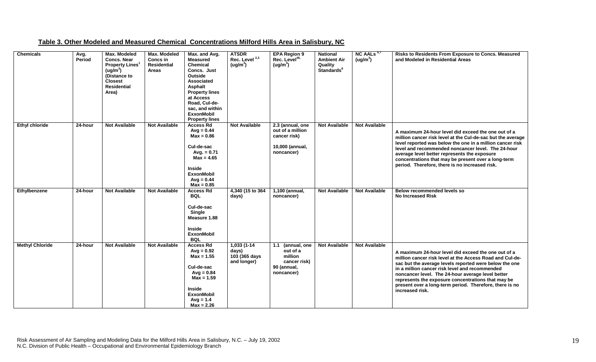| <b>Chemicals</b>       | Avg.<br>Period | <b>Max. Modeled</b><br><b>Concs, Near</b><br><b>Property Lines</b><br>(ug/m <sup>3</sup> )<br>(Distance to<br><b>Closest</b><br><b>Residential</b><br>Area) | Max. Modeled<br>Concs in<br><b>Residential</b><br>Areas | Max. and Avg.<br><b>Measured</b><br><b>Chemical</b><br>Concs. Just<br>Outside<br>Associated<br>Asphalt<br><b>Property lines</b><br>at Access<br>Road, Cul-de-<br>sac, and within<br><b>ExxonMobil</b><br><b>Property lines</b> | <b>ATSDR</b><br>Rec. Level <sup>2,3</sup><br>(ug/m <sup>3</sup> ) | <b>EPA Region 9</b><br>Rec. Level <sup>45,</sup><br>(ug/m <sup>3</sup> )              | <b>National</b><br><b>Ambient Air</b><br>Quality<br>Standards <sup>8</sup> | NC AALs <sup>6,7</sup><br>(ug/m <sup>3</sup> ) | Risks to Residents From Exposure to Concs. Measured<br>and Modeled in Residential Areas                                                                                                                                                                                                                                                                                                                              |
|------------------------|----------------|-------------------------------------------------------------------------------------------------------------------------------------------------------------|---------------------------------------------------------|--------------------------------------------------------------------------------------------------------------------------------------------------------------------------------------------------------------------------------|-------------------------------------------------------------------|---------------------------------------------------------------------------------------|----------------------------------------------------------------------------|------------------------------------------------|----------------------------------------------------------------------------------------------------------------------------------------------------------------------------------------------------------------------------------------------------------------------------------------------------------------------------------------------------------------------------------------------------------------------|
| <b>Ethyl chloride</b>  | 24-hour        | <b>Not Available</b>                                                                                                                                        | <b>Not Available</b>                                    | <b>Access Rd</b><br>$Avg = 0.44$<br>$Max = 0.86$<br>Cul-de-sac<br>Avg. $= 0.71$<br>$Max = 4.65$<br><b>Inside</b><br><b>ExxonMobil</b><br>$Avg = 0.44$                                                                          | <b>Not Available</b>                                              | 2.3 (annual, one<br>out of a million<br>cancer risk)<br>10,000 (annual,<br>noncancer) | <b>Not Available</b>                                                       | <b>Not Available</b>                           | A maximum 24-hour level did exceed the one out of a<br>million cancer risk level at the Cul-de-sac but the average<br>level reported was below the one in a million cancer risk<br>level and recommended noncancer level. The 24-hour<br>average level better represents the exposure<br>concentrations that may be present over a long-term<br>period. Therefore, there is no increased risk.                       |
| Ethylbenzene           | 24-hour        | <b>Not Available</b>                                                                                                                                        | <b>Not Available</b>                                    | $Max = 0.85$<br><b>Access Rd</b><br><b>BQL</b><br>Cul-de-sac<br>Single<br>Measure 1.88<br><b>Inside</b><br><b>ExxonMobil</b><br><b>BQL</b>                                                                                     | 4,340 (15 to 364)<br>days)                                        | 1,100 (annual,<br>noncancer)                                                          | <b>Not Available</b>                                                       | <b>Not Available</b>                           | Below recommended levels so<br><b>No Increased Risk</b>                                                                                                                                                                                                                                                                                                                                                              |
| <b>Methyl Chloride</b> | 24-hour        | <b>Not Available</b>                                                                                                                                        | <b>Not Available</b>                                    | <b>Access Rd</b><br>$Avg = 0.92$<br>$Max = 1.55$<br>Cul-de-sac<br>$Avg = 0.84$<br>$Max = 1.59$<br><b>Inside</b><br><b>ExxonMobil</b><br>$Avq = 1.4$<br>$Max = 2.26$                                                            | 1,033 (1-14<br>days)<br>103 (365 days<br>and longer)              | 1.1 (annual, one<br>out of a<br>million<br>cancer risk)<br>90 (annual,<br>noncancer)  | <b>Not Available</b>                                                       | <b>Not Available</b>                           | A maximum 24-hour level did exceed the one out of a<br>million cancer risk level at the Access Road and Cul-de-<br>sac but the average levels reported were below the one<br>in a million cancer risk level and recommended<br>noncancer level. The 24-hour average level better<br>represents the exposure concentrations that may be<br>present over a long-term period. Therefore, there is no<br>increased risk. |

### **Table 3. Other Modeled and Measured Chemical Concentrations Milford Hills Area in Salisbury, NC**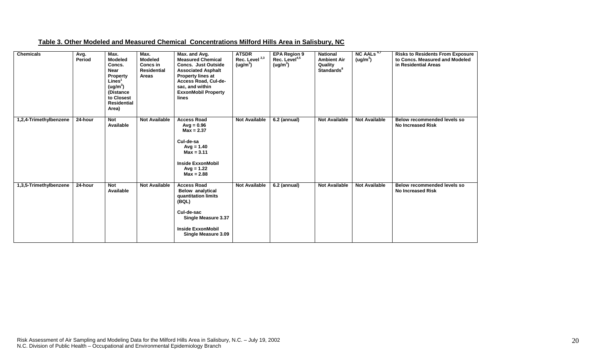| <b>Chemicals</b>       | Avg.<br>Period | Max.<br><b>Modeled</b><br>Concs.<br><b>Near</b><br><b>Property</b><br>Lines <sup>1</sup><br>(ug/m <sup>3</sup> )<br>(Distance<br>to Closest<br><b>Residential</b><br>Area) | Max.<br><b>Modeled</b><br>Concs in<br><b>Residential</b><br>Areas | Max. and Avg.<br><b>Measured Chemical</b><br><b>Concs. Just Outside</b><br><b>Associated Asphalt</b><br><b>Property lines at</b><br>Access Road, Cul-de-<br>sac, and within<br><b>ExxonMobil Property</b><br>lines | <b>ATSDR</b><br>Rec. Level <sup>2,3</sup><br>(ug/m <sup>3</sup> ) | <b>EPA Region 9</b><br>Rec. Level <sup>4,5</sup><br>(ug/m <sup>3</sup> ) | <b>National</b><br><b>Ambient Air</b><br>Quality<br>Standards <sup>8</sup> | NC AALs <sup>6,7</sup><br>(ug/m <sup>3</sup> ) | <b>Risks to Residents From Exposure</b><br>to Concs. Measured and Modeled<br>in Residential Areas |
|------------------------|----------------|----------------------------------------------------------------------------------------------------------------------------------------------------------------------------|-------------------------------------------------------------------|--------------------------------------------------------------------------------------------------------------------------------------------------------------------------------------------------------------------|-------------------------------------------------------------------|--------------------------------------------------------------------------|----------------------------------------------------------------------------|------------------------------------------------|---------------------------------------------------------------------------------------------------|
| 1,2,4-Trimethylbenzene | 24-hour        | <b>Not</b><br>Available                                                                                                                                                    | <b>Not Available</b>                                              | <b>Access Road</b><br>$Avg = 0.96$<br>$Max = 2.37$<br>Cul-de-sa<br>$Avg = 1.40$<br>$Max = 3.11$<br><b>Inside ExxonMobil</b><br>$Avg = 1.22$<br>$Max = 2.88$                                                        | <b>Not Available</b>                                              | 6.2 (annual)                                                             | <b>Not Available</b>                                                       | <b>Not Available</b>                           | <b>Below recommended levels so</b><br><b>No Increased Risk</b>                                    |
| 1,3,5-Trimethylbenzene | 24-hour        | <b>Not</b><br>Available                                                                                                                                                    | <b>Not Available</b>                                              | <b>Access Road</b><br><b>Below analytical</b><br>quantitation limits<br>(BQL)<br>Cul-de-sac<br>Single Measure 3.37<br><b>Inside ExxonMobil</b><br>Single Measure 3.09                                              | <b>Not Available</b>                                              | 6.2 (annual)                                                             | <b>Not Available</b>                                                       | <b>Not Available</b>                           | Below recommended levels so<br><b>No Increased Risk</b>                                           |

#### **Table 3. Other Modeled and Measured Chemical Concentrations Milford Hills Area in Salisbury, NC**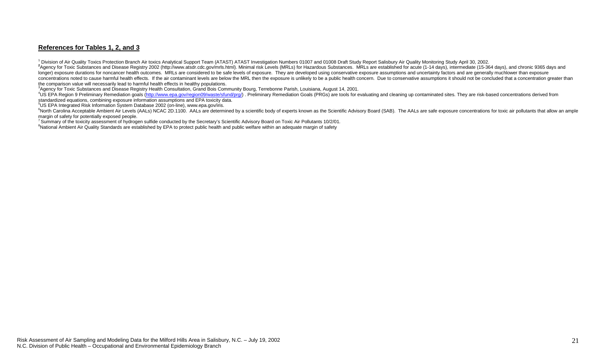#### **References for Tables 1, 2, and 3**

<sup>1</sup> Division of Air Quality Toxics Protection Branch Air toxics Analytical Support Team (ATAST) ATAST Investigation Numbers 01007 and 01008 Draft Study Report Salisbury Air Quality Monitoring Study April 30, 2002.

2 Agency for Toxic Substances and Disease Registry 2002 (http://www.atsdr.cdc.gov/mrls.html). Minimal risk Levels (MRLs) for Hazardous Substances. MRLs are established for acute (1-14 days), intermediate (15-364 days), and longer) exposure durations for noncancer health outcomes. MRLs are considered to be safe levels of exposure. They are developed using conservative exposure assumptions and uncertainty factors and are generally muchlower th concentrations noted to cause harmful health effects. If the air contaminant levels are below the MRL then the exposure is unlikely to be a public health concern. Due to conservative assumptions it should not be concluded the comparison value will necessarily lead to harmful health effects in healthy populations.<br><sup>3</sup>Agency for Toxic Substances and Disease Registry Health Consultation, Grand Bois Community Bourg, Terrebonne Parish, Louisiana

<sup>4</sup>US EPA Region 9 Preliminary Remediation goals (http://www.epa.gov/region09/waste/sfund/prg/). Preliminary Remediation Goals (PRGs) are tools for evaluating and cleaning up contaminated sites. They are risk-based concent standardized equations, combining exposure information assumptions and EPA toxicity data.

5US EPA Integrated Risk Information System Database 2002 (on-line), www.epa.gov/iris.

<sup>6</sup>North Carolina Acceptable Ambient Air Levels (AALs) NCAC 2D.1100. AALs are determined by a scientific body of experts known as the Scientific Advisory Board (SAB). The AALs are safe exposure concentrations for toxic air margin of safety for potentially exposed people.<br><sup>7</sup> Summary of the toxicity assessment of hydrogen sulfide conducted by the Secretary's Scientific Advisory Board on Toxic Air Pollutants 10/2/01.

<sup>8</sup>National Ambient Air Quality Standards are established by EPA to protect public health and public welfare within an adequate margin of safety